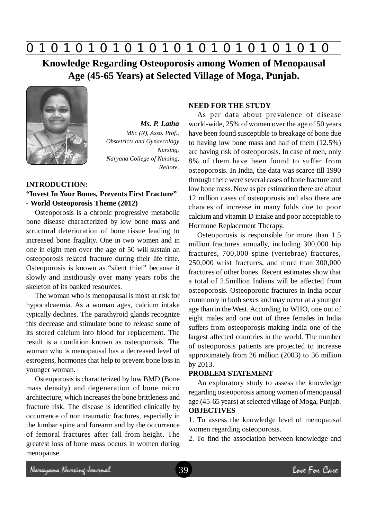

**Knowledge Regarding Osteoporosis among Women of Menopausal Age (45-65 Years) at Selected Village of Moga, Punjab.**



*Ms. P. Latha MSc (N), Asso. Prof., Obstetricts and Gynaecology Nursing, Naryana College of Nursing, Nellore.*

### **INTRODUCTION:**

### **"Invest In Your Bones, Prevents First Fracture" - World Osteoporosis Theme (2012)**

Osteoporosis is a chronic progressive metabolic bone disease characterized by low bone mass and structural deterioration of bone tissue leading to increased bone fragility. One in two women and in one in eight men over the age of 50 will sustain an osteoporosis related fracture during their life time. Osteoporosis is known as "silent thief" because it slowly and insidiously over many years robs the skeleton of its banked resources.

The woman who is menopausal is most at risk for hypocalcaemia. As a woman ages, calcium intake typically declines. The parathyroid glands recognize this decrease and stimulate bone to release some of its stored calcium into blood for replacement. The result is a condition known as osteoporosis. The woman who is menopausal has a decreased level of estrogens, hormones that help to prevent bone loss in younger woman.

Osteoporosis is characterized by low BMD (Bone mass density) and degeneration of bone micro architecture, which increases the bone brittleness and fracture risk. The disease is identified clinically by occurrence of non traumatic fractures, especially in the lumbar spine and forearm and by the occurrence of femoral fractures after fall from height. The greatest loss of bone mass occurs in women during menopause.

#### **NEED FOR THE STUDY**

As per data about prevalence of disease world-wide, 25% of women over the age of 50 years have been found susceptible to breakage of bone due to having low bone mass and half of them (12.5%) are having risk of osteoporosis. In case of men, only 8% of them have been found to suffer from osteoporosis. In India, the data was scarce till 1990 through there were several cases of bone fracture and low bone mass. Now as per estimation there are about 12 million cases of osteoporosis and also there are chances of increase in many folds due to poor calcium and vitamin D intake and poor acceptable to Hormone Replacement Therapy.

Osteoporosis is responsible for more than 1.5 million fractures annually, including 300,000 hip fractures, 700,000 spine (vertebrae) fractures, 250,000 wrist fractures, and more than 300,000 fractures of other bones. Recent estimates show that a total of 2.5million Indians will be affected from osteoporosis. Osteoporotic fractures in India occur commonly in both sexes and may occur at a younger age than in the West. According to WHO, one out of eight males and one out of three females in India suffers from osteoporosis making India one of the largest affected countries in the world. The number of osteoporosis patients are projected to increase approximately from 26 million (2003) to 36 million by 2013.

#### **PROBLEM STATEMENT**

An exploratory study to assess the knowledge regarding osteoporosis among women of menopausal age (45-65 years) at selected village of Moga, Punjab. **OBJECTIVES**

1. To assess the knowledge level of menopausal women regarding osteoporosis.

2. To find the association between knowledge and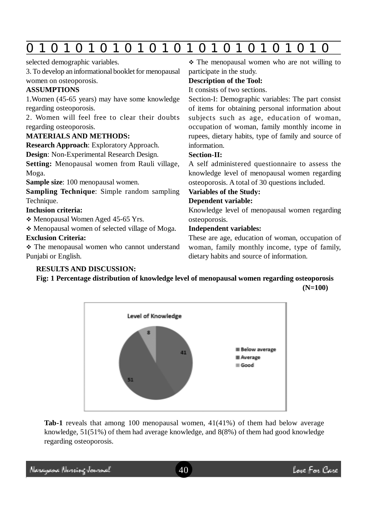|--|--|--|--|--|--|--|--|--|--|--|--|--|--|--|

selected demographic variables.

3. To develop an informational booklet for menopausal women on osteoporosis.

# **ASSUMPTIONS**

1.Women (45-65 years) may have some knowledge regarding osteoporosis.

2. Women will feel free to clear their doubts regarding osteoporosis.

## **MATERIALS AND METHODS:**

**Research Approach**: Exploratory Approach.

**Design**: Non-Experimental Research Design.

**Setting:** Menopausal women from Rauli village, Moga.

**Sample size**: 100 menopausal women.

**Sampling Technique**: Simple random sampling Technique.

## **Inclusion criteria:**

Menopausal Women Aged 45-65 Yrs.

Menopausal women of selected village of Moga.

## **Exclusion Criteria:**

 The menopausal women who cannot understand Punjabi or English.

# **RESULTS AND DISCUSSION:**

 $\div$  The menopausal women who are not willing to participate in the study.

### **Description of the Tool:**

It consists of two sections.

Section-I: Demographic variables: The part consist of items for obtaining personal information about subjects such as age, education of woman, occupation of woman, family monthly income in rupees, dietary habits, type of family and source of information.

### **Section**-**II:**

A self administered questionnaire to assess the knowledge level of menopausal women regarding osteoporosis. A total of 30 questions included.

## **Variables of the Study:**

## **Dependent variable:**

Knowledge level of menopausal women regarding osteoporosis.

## **Independent variables:**

These are age, education of woman, occupation of woman, family monthly income, type of family, dietary habits and source of information.

**Fig: 1 Percentage distribution of knowledge level of menopausal women regarding osteoporosis (N=100)**



**Tab-1** reveals that among 100 menopausal women, 41(41%) of them had below average knowledge, 51(51%) of them had average knowledge, and 8(8%) of them had good knowledge regarding osteoporosis.